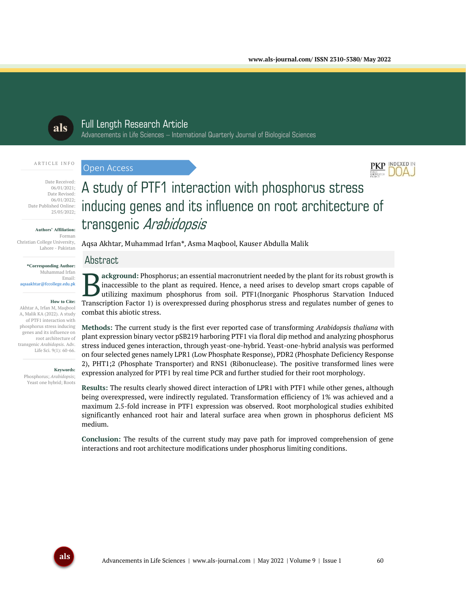

# Full Length Research Article

Advancements in Life Sciences – International Quarterly Journal of Biological Sciences

#### ARTICLE INFO

#### Open Access



Date Published Online:

# **Authors' Affiliation:**

Forman Christian College University, Lahore - Pakistan

**\*Corresponding Author:** Muhammad Irfan Email: aqsaakhtar@fccollege.edu.pk

#### **How to Cite:**

Akhtar A, Irfan M, Maqbool A, Malik KA (2022). A study of PTF1 interaction with phosphorus stress inducing genes and its influence on root architecture of transgenic *Arabidopsis*. Adv. Life Sci. 9(1): 60-66.

#### **Keywords:**

Phosphorus; *Arabidopsis*; Yeast one hybrid; Roots

# A study of PTF1 interaction with phosphorus stress inducing genes and its influence on root architecture of transgenic Arabidopsis

Aqsa Akhtar, Muhammad Irfan\*, Asma Maqbool, Kauser Abdulla Malik

# Abstract

**ackground:** Phosphorus; an essential macronutrient needed by the plant for its robust growth is inaccessible to the plant as required. Hence, a need arises to develop smart crops capable of utilizing maximum phosphorus from soil. PTF1(Inorganic Phosphorus Starvation Induced Transcription Factor 1) is overexpressed during phosphorus stress and regulates number of genes to develop smart crops capable of Transcription Factor 1) is overexpressed during phosphorus stress and regulates number of ge combat this abiotic stress.

**Methods:** The current study is the first ever reported case of transforming *Arabidopsis thaliana* with plant expression binary vector pSB219 harboring PTF1 via floral dip method and analyzing phosphorus stress induced genes interaction, through yeast-one-hybrid. Yeast-one-hybrid analysis was performed on four selected genes namely LPR1 (Low Phosphate Response), PDR2 (Phosphate Deficiency Response 2), PHT1;2 (Phosphate Transporter) and RNS1 (Ribonuclease). The positive transformed lines were expression analyzed for PTF1 by real time PCR and further studied for their root morphology.

**Results:** The results clearly showed direct interaction of LPR1 with PTF1 while other genes, although being overexpressed, were indirectly regulated. Transformation efficiency of 1% was achieved and a maximum 2.5-fold increase in PTF1 expression was observed. Root morphological studies exhibited significantly enhanced root hair and lateral surface area when grown in phosphorus deficient MS medium.

**Conclusion:** The results of the current study may pave path for improved comprehension of gene interactions and root architecture modifications under phosphorus limiting conditions.

INDEXED IN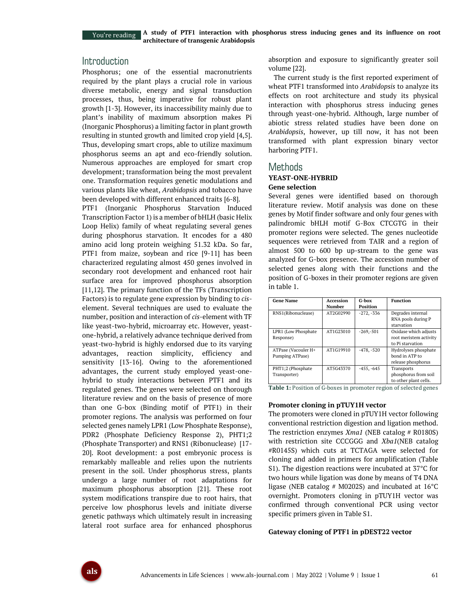You're reading

**A study of PTF1 interaction with phosphorus stress inducing genes and its influence on root architecture of transgenic Arabidopsis**

# **Introduction**

Phosphorus; one of the essential macronutrients required by the plant plays a crucial role in various diverse metabolic, energy and signal transduction processes, thus, being imperative for robust plant growth [1-3]. However, its inaccessibility mainly due to plant's inability of maximum absorption makes Pi (Inorganic Phosphorus) a limiting factor in plant growth resulting in stunted growth and limited crop yield [4,5]. Thus, developing smart crops, able to utilize maximum phosphorus seems an apt and eco-friendly solution. Numerous approaches are employed for smart crop development; transformation being the most prevalent one. Transformation requires genetic modulations and various plants like wheat, *Arabidopsis* and tobacco have been developed with different enhanced traits [6-8].

PTF1 (Inorganic Phosphorus Starvation Induced Transcription Factor 1) is a member of bHLH (basic Helix Loop Helix) family of wheat regulating several genes during phosphorus starvation. It encodes for a 480 amino acid long protein weighing 51.32 kDa. So far, PTF1 from maize, soybean and rice [9-11] has been characterized regulating almost 450 genes involved in secondary root development and enhanced root hair surface area for improved phosphorus absorption [11,12]. The primary function of the TFs (Transcription Factors) is to regulate gene expression by binding to *cis*element. Several techniques are used to evaluate the number, position and interaction of *cis*-element with TF like yeast-two-hybrid, microarray etc. However, yeastone-hybrid, a relatively advance technique derived from yeast-two-hybrid is highly endorsed due to its varying advantages, reaction simplicity, efficiency and sensitivity [13-16]. Owing to the aforementioned advantages, the current study employed yeast-onehybrid to study interactions between PTF1 and its regulated genes. The genes were selected on thorough literature review and on the basis of presence of more than one G-box (Binding motif of PTF1) in their promoter regions. The analysis was performed on four selected genes namely LPR1 (Low Phosphate Response), PDR2 (Phosphate Deficiency Response 2), PHT1;2 (Phosphate Transporter) and RNS1 (Ribonuclease) [17- 20]. Root development: a post embryonic process is remarkably malleable and relies upon the nutrients present in the soil. Under phosphorus stress, plants undergo a large number of root adaptations for maximum phosphorus absorption [21]. These root system modifications transpire due to root hairs, that perceive low phosphorus levels and initiate diverse genetic pathways which ultimately result in increasing lateral root surface area for enhanced phosphorus absorption and exposure to significantly greater soil volume [22].

The current study is the first reported experiment of wheat PTF1 transformed into *Arabidopsis* to analyze its effects on root architecture and study its physical interaction with phosphorus stress inducing genes through yeast-one-hybrid. Although, large number of abiotic stress related studies have been done on *Arabidopsis*, however, up till now, it has not been transformed with plant expression binary vector harboring PTF1.

### Methods

#### **YEAST-ONE-HYBRID Gene selection**

Several genes were identified based on thorough literature review. Motif analysis was done on these genes by Motif finder software and only four genes with palindromic bHLH motif G-Box CTCGTG in their promoter regions were selected. The genes nucleotide sequences were retrieved from TAIR and a region of almost 500 to 600 bp up-stream to the gene was analyzed for G-box presence. The accession number of selected genes along with their functions and the position of G-boxes in their promoter regions are given in table 1.

| <b>Gene Name</b>                       | Accession<br>Number | G-box<br><b>Position</b> | <b>Function</b>                                                     |
|----------------------------------------|---------------------|--------------------------|---------------------------------------------------------------------|
| RNS1(Ribonuclease)                     | AT2G02990           | $-272, -336$             | Degrades internal<br>RNA pools during P<br>starvation               |
| LPR1 (Low Phosphate<br>Response)       | AT1G23010           | $-269 - 501$             | Oxidase which adjusts<br>root meristem activity<br>to Pi starvation |
| ATPase (Vacouler H+<br>Pumping ATPase) | AT1G19910           | $-478. -520$             | Hydrolyses phosphate<br>bond in ATP to<br>release phosphorus        |
| PHT1;2 (Phosphate<br>Transporter)      | AT5G43370           | $-455, -645$             | Transports<br>phosphorus from soil<br>to other plant cells.         |

**Table 1:** Position of G-boxes in promoter region of selected genes

#### **Promoter cloning in pTUY1H vector**

The promoters were cloned in pTUY1H vector following conventional restriction digestion and ligation method. The restriction enzymes *Xma1* (NEB catalog # R0180S) with restriction site CCCGGG and *Xba1*(NEB catalog #R0145S) which cuts at TCTAGA were selected for cloning and added in primers for amplification (Table S1). The digestion reactions were incubated at 37°C for two hours while ligation was done by means of T4 DNA ligase (NEB catalog # M0202S) and incubated at  $16^{\circ}$ C overnight. Promoters cloning in pTUY1H vector was confirmed through conventional PCR using vector specific primers given in Table S1.

#### **Gateway cloning of PTF1 in pDEST22 vector**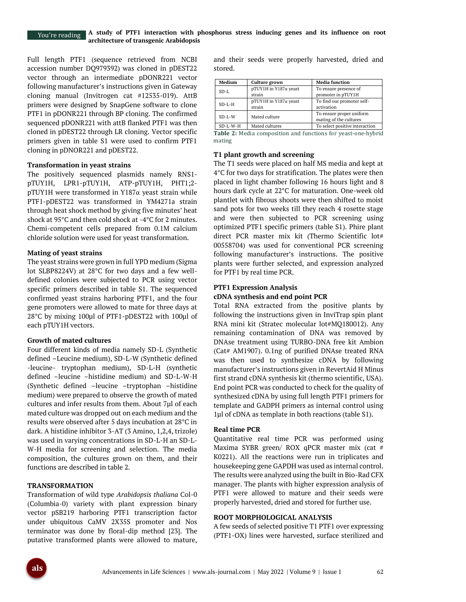#### You're reading

Full length PTF1 (sequence retrieved from NCBI accession number DQ979392) was cloned in pDEST22 vector through an intermediate pDONR221 vector following manufacturer's instructions given in Gateway cloning manual (Invitrogen cat #12535-019). AttB primers were designed by SnapGene software to clone PTF1 in pDONR221 through BP cloning. The confirmed sequenced pDONR221 with attB flanked PTF1 was then cloned in pDEST22 through LR cloning. Vector specific primers given in table S1 were used to confirm PTF1 cloning in pDNOR221 and pDEST22.

#### **Transformation in yeast strains**

The positively sequenced plasmids namely RNS1 pTUY1H, LPR1-pTUY1H, ATP-pTUY1H, PHT1;2 pTUY1H were transformed in Y187α yeast strain while PTF1-pDEST22 was transformed in YM4271a strain through heat shock method by giving five minutes' heat shock at 95°C and then cold shock at -4°C for 2 minutes. Chemi-competent cells prepared from 0.1M calcium chloride solution were used for yeast transformation.

#### **Mating of yeast strains**

The yeast strains were grown in full YPD medium (Sigma lot SLBP8224V) at 28°C for two days and a few welldefined colonies were subjected to PCR using vector specific primers described in table S1. The sequenced confirmed yeast strains harboring PTF1, and the four gene promoters were allowed to mate for three days at 28°C by mixing 100µl of PTF1-pDEST22 with 100µl of each pTUY1H vectors.

#### **Growth of mated cultures**

Four different kinds of media namely SD-L (Synthetic defined –Leucine medium), SD-L-W (Synthetic defined -leucine- tryptophan medium), SD-L-H (synthetic defined –leucine –histidine medium) and SD-L-W-H (Synthetic defined –leucine –tryptophan –histidine medium) were prepared to observe the growth of mated cultures and infer results from them. About 7µl of each mated culture was dropped out on each medium and the results were observed after 5 days incubation at 28°C in dark. A histidine inhibitor 3-AT (3 Amino, 1,2,4, trizole) was used in varying concentrations in SD-L-H an SD-L-W-H media for screening and selection. The media composition, the cultures grown on them, and their functions are described in table 2.

#### **TRANSFORMATION**

Transformation of wild type *Arabidopsis thaliana* Col-0 (Columbia-0) variety with plant expression binary vector pSB219 harboring PTF1 transcription factor under ubiquitous CaMV 2X35S promoter and Nos terminator was done by floral-dip method [23]. The putative transformed plants were allowed to mature, and their seeds were properly harvested, dried and stored.

| Medium     | <b>Culture grown</b>           | <b>Media function</b>          |  |  |
|------------|--------------------------------|--------------------------------|--|--|
| $SD-I.$    | $pTUY1H$ in $Y187\alpha$ yeast | To ensure presence of          |  |  |
|            | strain                         | promoter in pTUY1H             |  |  |
| $SD-L-H$   | $pTUY1H$ in $Y187\alpha$ yeast | To find our promoter self-     |  |  |
|            | strain                         | activation                     |  |  |
| $SD-L-W$   | Mated culture                  | To ensure proper uniform       |  |  |
|            |                                | mating of the cultures         |  |  |
| $SD-L-W-H$ | Mated cultures                 | To select positive interaction |  |  |
|            | - -                            |                                |  |  |

**Table 2:** Media composition and functions for yeast-one-hybrid mating

#### **T1 plant growth and screening**

The T1 seeds were placed on half MS media and kept at 4°C for two days for stratification. The plates were then placed in light chamber following 16 hours light and 8 hours dark cycle at 22°C for maturation. One-week old plantlet with fibrous shoots were then shifted to moist sand pots for two weeks till they reach 4 rosette stage and were then subjected to PCR screening using optimized PTF1 specific primers (table S1). Phire plant direct PCR master mix kit (Thermo Scientific lot# 00558704) was used for conventional PCR screening following manufacturer's instructions. The positive plants were further selected, and expression analyzed for PTF1 by real time PCR.

# **PTF1 Expression Analysis**

#### **cDNA synthesis and end point PCR**

Total RNA extracted from the positive plants by following the instructions given in InviTrap spin plant RNA mini kit (Stratec molecular lot#MQ180012). Any remaining contamination of DNA was removed by DNAse treatment using TURBO-DNA free kit Ambion (Cat# AM1907). 0.1ng of purified DNAse treated RNA was then used to synthesize cDNA by following manufacturer's instructions given in RevertAid H Minus first strand cDNA synthesis kit (thermo scientific, USA). End point PCR was conducted to check for the quality of synthesized cDNA by using full length PTF1 primers for template and GADPH primers as internal control using 1µl of cDNA as template in both reactions (table S1).

#### **Real time PCR**

Quantitative real time PCR was performed using Maxima SYBR green/ ROX qPCR master mix (cat # K0221). All the reactions were run in triplicates and housekeeping gene GAPDH was used as internal control. The results were analyzed using the built in Bio-Rad CFX manager. The plants with higher expression analysis of PTF1 were allowed to mature and their seeds were properly harvested, dried and stored for further use.

#### **ROOT MORPHOLOGICAL ANALYSIS**

A few seeds of selected positive T1 PTF1 over expressing (PTF1-OX) lines were harvested, surface sterilized and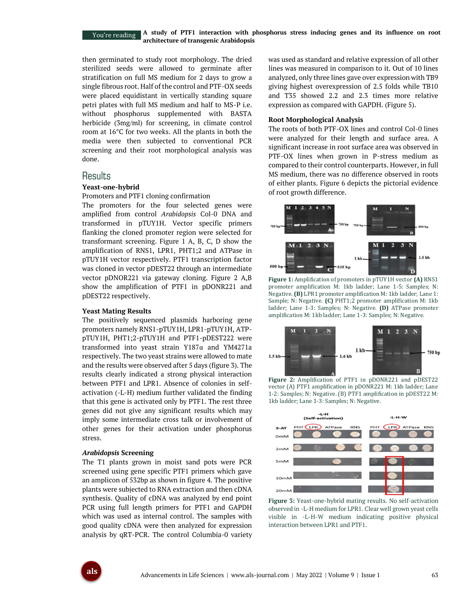#### **A study of PTF1 interaction with phosphorus stress inducing genes and its influence on root architecture of transgenic Arabidopsis** You're reading

then germinated to study root morphology. The dried sterilized seeds were allowed to germinate after stratification on full MS medium for 2 days to grow a single fibrous root. Half of the control and PTF-OX seeds were placed equidistant in vertically standing square petri plates with full MS medium and half to MS-P i.e. without phosphorus supplemented with BASTA herbicide (3mg/ml) for screening, in climate control room at 16°C for two weeks. All the plants in both the media were then subjected to conventional PCR screening and their root morphological analysis was done.

# **Results**

#### **Yeast-one-hybrid**

Promoters and PTF1 cloning confirmation

The promoters for the four selected genes were amplified from control *Arabidopsis* Col-0 DNA and transformed in pTUY1H. Vector specific primers flanking the cloned promoter region were selected for transformant screening. Figure 1 A, B, C, D show the amplification of RNS1, LPR1, PHT1;2 and ATPase in pTUY1H vector respectively. PTF1 transcription factor was cloned in vector pDEST22 through an intermediate vector pDNOR221 via gateway cloning. Figure 2 A,B show the amplification of PTF1 in pDONR221 and pDEST22 respectively.

#### **Yeast Mating Results**

The positively sequenced plasmids harboring gene promoters namely RNS1-pTUY1H, LPR1-pTUY1H, ATPpTUY1H, PHT1;2-pTUY1H and PTF1-pDEST222 were transformed into yeast strain Y187α and YM4271a respectively. The two yeast strains were allowed to mate and the results were observed after 5 days (figure 3). The results clearly indicated a strong physical interaction between PTF1 and LPR1. Absence of colonies in selfactivation (-L-H) medium further validated the finding that this gene is activated only by PTF1. The rest three genes did not give any significant results which may imply some intermediate cross talk or involvement of other genes for their activation under phosphorus stress.

#### *Arabidopsis* **Screening**

The T1 plants grown in moist sand pots were PCR screened using gene specific PTF1 primers which gave an amplicon of 532bp as shown in figure 4. The positive plants were subjected to RNA extraction and then cDNA synthesis. Quality of cDNA was analyzed by end point PCR using full length primers for PTF1 and GAPDH which was used as internal control. The samples with good quality cDNA were then analyzed for expression analysis by qRT-PCR. The control Columbia-0 variety was used as standard and relative expression of all other lines was measured in comparison to it. Out of 10 lines analyzed, only three lines gave over expression with TB9 giving highest overexpression of 2.5 folds while TB10 and T35 showed 2.2 and 2.3 times more relative expression as compared with GAPDH. (Figure 5).

#### **Root Morphological Analysis**

The roots of both PTF-OX lines and control Col-0 lines were analyzed for their length and surface area. A significant increase in root surface area was observed in PTF-OX lines when grown in P-stress medium as compared to their control counterparts. However, in full MS medium, there was no difference observed in roots of either plants. Figure 6 depicts the pictorial evidence of root growth difference.



**Figure 1:** Amplification of promoters in pTUY1H vector **(A)** RNS1 promoter amplification M: 1kb ladder; Lane 1-5: Samples; N: Negative. **(B)** LPR1 promoter amplification M: 1kb ladder; Lane 1: Sample; N: Negative. **(C)** PHT1;2 promoter amplification M: 1kb ladder; Lane 1-3: Samples; N: Negative. **(D)** ATPase promoter amplification M: 1kb ladder; Lane 1-3: Samples; N: Negative.



**Figure 2:** Amplification of PTF1 in pDONR221 and pDEST22 vector (A) PTF1 amplification in pDONR221 M: 1kb ladder; Lane 1-2: Samples; N: Negative. (B) PTF1 amplification in pDEST22 M: 1kb ladder; Lane 1-3: Samples; N: Negative.



**Figure 3:** Yeast-one-hybrid mating results. No self-activation observed in -L-H medium for LPR1. Clear well grown yeast cells visible in -L-H-W medium indicating positive physical interaction between LPR1 and PTF1.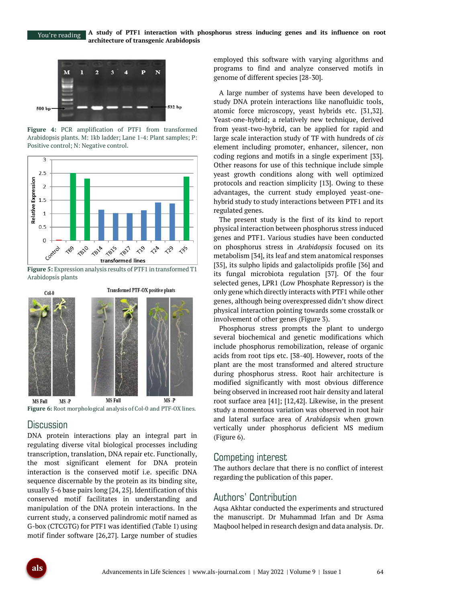

**Figure 4:** PCR amplification of PTF1 from transformed Arabidopsis plants. M: 1kb ladder; Lane 1-4: Plant samples; P: Positive control; N: Negative control.



**Figure 5:** Expression analysis results of PTF1 in transformed T1 Arabidopsis plants





# **Discussion**

DNA protein interactions play an integral part in regulating diverse vital biological processes including transcription, translation, DNA repair etc. Functionally, the most significant element for DNA protein interaction is the conserved motif i.e. specific DNA sequence discernable by the protein as its binding site, usually 5-6 base pairs long [24, 25]. Identification of this conserved motif facilitates in understanding and manipulation of the DNA protein interactions. In the current study, a conserved palindromic motif named as G-box (CTCGTG) for PTF1 was identified (Table 1) using motif finder software [26,27]. Large number of studies

employed this software with varying algorithms and programs to find and analyze conserved motifs in genome of different species [28-30].

A large number of systems have been developed to study DNA protein interactions like nanofluidic tools, atomic force microscopy, yeast hybrids etc. [31,32]. Yeast-one-hybrid; a relatively new technique, derived from yeast-two-hybrid, can be applied for rapid and large scale interaction study of TF with hundreds of *cis* element including promoter, enhancer, silencer, non coding regions and motifs in a single experiment [33]. Other reasons for use of this technique include simple yeast growth conditions along with well optimized protocols and reaction simplicity [13]. Owing to these advantages, the current study employed yeast-onehybrid study to study interactions between PTF1 and its regulated genes.

The present study is the first of its kind to report physical interaction between phosphorus stress induced genes and PTF1. Various studies have been conducted on phosphorus stress in *Arabidopsis* focused on its metabolism [34], its leaf and stem anatomical responses [35], its sulpho lipids and galactolipids profile [36] and its fungal microbiota regulation [37]. Of the four selected genes, LPR1 (Low Phosphate Repressor) is the only gene which directly interacts with PTF1 while other genes, although being overexpressed didn't show direct physical interaction pointing towards some crosstalk or involvement of other genes (Figure 3).

Phosphorus stress prompts the plant to undergo several biochemical and genetic modifications which include phosphorus remobilization, release of organic acids from root tips etc. [38-40]. However, roots of the plant are the most transformed and altered structure during phosphorus stress. Root hair architecture is modified significantly with most obvious difference being observed in increased root hair density and lateral root surface area [41]; [12,42]. Likewise, in the present study a momentous variation was observed in root hair and lateral surface area of *Arabidopsis* when grown vertically under phosphorus deficient MS medium (Figure 6).

# Competing interest

The authors declare that there is no conflict of interest regarding the publication of this paper.

# Authors' Contribution

Aqsa Akhtar conducted the experiments and structured the manuscript. Dr Muhammad Irfan and Dr Asma Maqbool helped in research design and data analysis. Dr.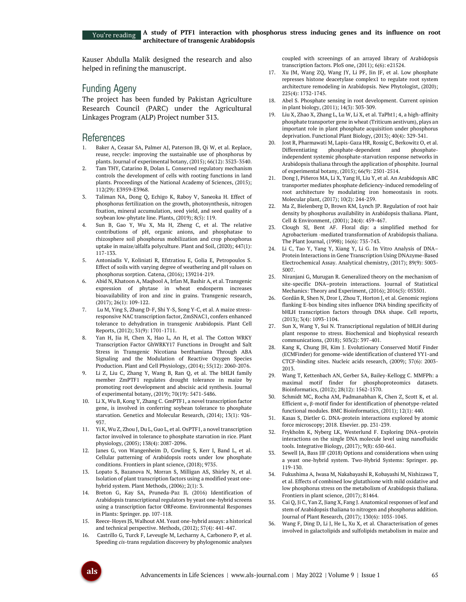Kauser Abdulla Malik designed the research and also helped in refining the manuscript.

# Funding Ageny

The project has been funded by Pakistan Agriculture Research Council (PARC) under the Agricultural Linkages Program (ALP) Project number 313.

# References

- 1. Baker A, Ceasar SA, Palmer AJ, Paterson JB, Qi W, et al. Replace, reuse, recycle: improving the sustainable use of phosphorus by plants. Journal of experimental botany, (2015); 66(12): 3523-3540.
- 2. Tam THY, Catarino B, Dolan L. Conserved regulatory mechanism controls the development of cells with rooting functions in land plants. Proceedings of the National Academy of Sciences, (2015); 112(29): E3959-E3968.
- 3. Taliman NA, Dong Q, Echigo K, Raboy V, Saneoka H. Effect of phosphorus fertilization on the growth, photosynthesis, nitrogen fixation, mineral accumulation, seed yield, and seed quality of a soybean low-phytate line. Plants, (2019); 8(5): 119.
- 4. Sun B, Gao Y, Wu X, Ma H, Zheng C, et al. The relative contributions of pH, organic anions, and phosphatase to rhizosphere soil phosphorus mobilization and crop phosphorus uptake in maize/alfalfa polyculture. Plant and Soil, (2020); 447(1): 117-133.
- 5. Antoniadis V, Koliniati R, Efstratiou E, Golia E, Petropoulos S. Effect of soils with varying degree of weathering and pH values on phosphorus sorption. Catena, (2016); 139214-219.
- 6. Abid N, Khatoon A, Maqbool A, Irfan M, Bashir A, et al. Transgenic expression of phytase in wheat endosperm increases bioavailability of iron and zinc in grains. Transgenic research, (2017); 26(1): 109-122.
- 7. Lu M, Ying S, Zhang D-F, Shi Y-S, Song Y-C, et al. A maize stressresponsive NAC transcription factor, ZmSNAC1, confers enhanced tolerance to dehydration in transgenic Arabidopsis. Plant Cell Reports, (2012); 31(9): 1701-1711.
- 8. Yan H, Jia H, Chen X, Hao L, An H, et al. The Cotton WRKY Transcription Factor GhWRKY17 Functions in Drought and Salt Stress in Transgenic Nicotiana benthamiana Through ABA Signaling and the Modulation of Reactive Oxygen Species Production. Plant and Cell Physiology, (2014); 55(12): 2060-2076.
- 9. Li Z, Liu C, Zhang Y, Wang B, Ran Q, et al. The bHLH family member ZmPTF1 regulates drought tolerance in maize by promoting root development and abscisic acid synthesis. Journal of experimental botany, (2019); 70(19): 5471-5486.
- Li X, Wu B, Kong Y, Zhang C. GmPTF1, a novel transcription factor gene, is involved in conferring soybean tolerance to phosphate starvation. Genetics and Molecular Research, (2014); 13(1): 926- 937.
- 11. Yi K, Wu Z, Zhou J, Du L, Guo L, et al. OsPTF1, a novel transcription factor involved in tolerance to phosphate starvation in rice. Plant physiology, (2005); 138(4): 2087-2096.
- 12. Janes G, von Wangenheim D, Cowling S, Kerr I, Band L, et al. Cellular patterning of Arabidopsis roots under low phosphate conditions. Frontiers in plant science, (2018); 9735.
- 13. Lopato S, Bazanova N, Morran S, Milligan AS, Shirley N, et al. Isolation of plant transcription factors using a modified yeast onehybrid system. Plant Methods, (2006); 2(1): 3.
- 14. Breton G, Kay SA, Pruneda-Paz JL (2016) Identification of Arabidopsis transcriptional regulators by yeast one-hybrid screens using a transcription factor ORFeome. Environmental Responses in Plants: Springer. pp. 107-118.
- 15. Reece-Hoyes JS, Walhout AM. Yeast one-hybrid assays: a historical and technical perspective. Methods, (2012); 57(4): 441-447.
- 16. Castrillo G, Turck F, Leveugle M, Lecharny A, Carbonero P, et al. Speeding *cis*-trans regulation discovery by phylogenomic analyses

coupled with screenings of an arrayed library of Arabidopsis transcription factors. PloS one, (2011); 6(6): e21524.

- 17. Xu JM, Wang ZQ, Wang JY, Li PF, Jin JF, et al. Low phosphate represses histone deacetylase complex1 to regulate root system architecture remodeling in Arabidopsis. New Phytologist, (2020); 225(4): 1732-1745.
- 18. Abel S. Phosphate sensing in root development. Current opinion in plant biology, (2011); 14(3): 303-309.
- 19. Liu X, Zhao X, Zhang L, Lu W, Li X, et al. TaPht1; 4, a high-affinity phosphate transporter gene in wheat (Triticum aestivum), plays an important role in plant phosphate acquisition under phosphorus deprivation. Functional Plant Biology, (2013); 40(4): 329-341.
- 20. Jost R, Pharmawati M, Lapis-Gaza HR, Rossig C, Berkowitz O, et al. Differentiating phosphate-dependent and phosphateindependent systemic phosphate-starvation response networks in Arabidopsis thaliana through the application of phosphite. Journal of experimental botany, (2015); 66(9): 2501-2514.
- 21. Dong J, Piñeros MA, Li X, Yang H, Liu Y, et al. An Arabidopsis ABC transporter mediates phosphate deficiency-induced remodeling of root architecture by modulating iron homeostasis in roots. Molecular plant, (2017); 10(2): 244-259.
- 22. Ma Z, Bielenberg D, Brown KM, Lynch JP. Regulation of root hair density by phosphorus availability in Arabidopsis thaliana. Plant, Cell & Environment, (2001); 24(4): 459-467.
- 23. Clough SJ, Bent AF. Floral dip: a simplified method for Agrobacterium -mediated transformation of Arabidopsis thaliana. The Plant Journal, (1998); 16(6): 735-743.
- 24. Li C, Tao Y, Yang Y, Xiang Y, Li G. In Vitro Analysis of DNA– Protein Interactions in Gene Transcription Using DNAzyme-Based Electrochemical Assay. Analytical chemistry, (2017); 89(9): 5003- 5007.
- 25. Niranjani G, Murugan R. Generalized theory on the mechanism of site-specific DNA–protein interactions. Journal of Statistical Mechanics: Theory and Experiment, (2016); 2016(5): 053501.
- 26. Gordân R, Shen N, Dror I, Zhou T, Horton J, et al. Genomic regions flanking E-box binding sites influence DNA binding specificity of bHLH transcription factors through DNA shape. Cell reports, (2013); 3(4): 1093-1104.
- 27. Sun X, Wang Y, Sui N. Transcriptional regulation of bHLH during plant response to stress. Biochemical and biophysical research communications, (2018); 503(2): 397-401.
- 28. Kang K, Chung JH, Kim J. Evolutionary Conserved Motif Finder (ECMFinder) for genome-wide identification of clustered YY1-and CTCF-binding sites. Nucleic acids research, (2009); 37(6): 2003- 2013.
- 29. Wang T, Kettenbach AN, Gerber SA, Bailey-Kellogg C. MMFPh: a maximal motif finder for phosphoproteomics datasets. Bioinformatics, (2012); 28(12): 1562-1570.
- Schmidt MC, Rocha AM, Padmanabhan K, Chen Z, Scott K, et al. Efficient α, β-motif finder for identification of phenotype-related functional modules. BMC Bioinformatics, (2011); 12(1): 440.
- 31. Kasas S, Dietler G. DNA-protein interactions explored by atomic force microscopy; 2018. Elsevier. pp. 231-239.
- 32. Frykholm K, Nyberg LK, Westerlund F. Exploring DNA–protein interactions on the single DNA molecule level using nanofluidic tools. Integrative Biology, (2017); 9(8): 650-661.
- Sewell JA, Bass JIF (2018) Options and considerations when using a yeast one-hybrid system. Two-Hybrid Systems: Springer. pp. 119-130.
- 34. Fukushima A, Iwasa M, Nakabayashi R, Kobayashi M, Nishizawa T, et al. Effects of combined low glutathione with mild oxidative and low phosphorus stress on the metabolism of Arabidopsis thaliana. Frontiers in plant science, (2017); 81464.
- 35. Cai Q, Ji C, Yan Z, Jiang X, Fang J. Anatomical responses of leaf and stem of Arabidopsis thaliana to nitrogen and phosphorus addition. Journal of Plant Research, (2017); 130(6): 1035-1045.
- Wang F, Ding D, Li J, He L, Xu X, et al. Characterisation of genes involved in galactolipids and sulfolipids metabolism in maize and